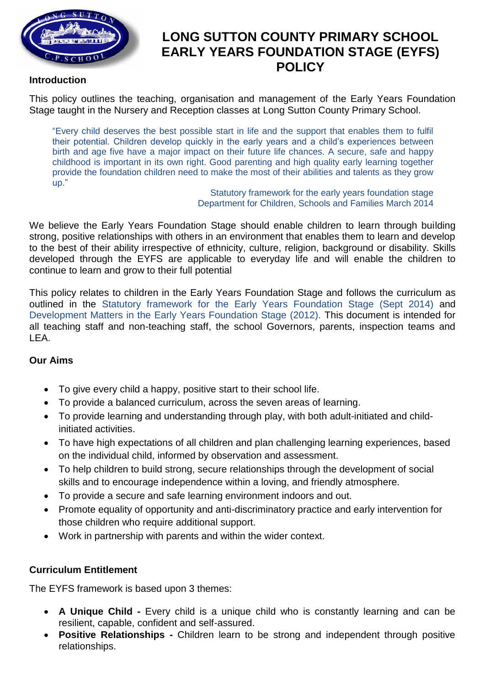

# **LONG SUTTON COUNTY PRIMARY SCHOOL EARLY YEARS FOUNDATION STAGE (EYFS) POLICY**

### **Introduction**

This policy outlines the teaching, organisation and management of the Early Years Foundation Stage taught in the Nursery and Reception classes at Long Sutton County Primary School.

"Every child deserves the best possible start in life and the support that enables them to fulfil their potential. Children develop quickly in the early years and a child's experiences between birth and age five have a major impact on their future life chances. A secure, safe and happy childhood is important in its own right. Good parenting and high quality early learning together provide the foundation children need to make the most of their abilities and talents as they grow up."

Statutory framework for the early years foundation stage Department for Children, Schools and Families March 2014

We believe the Early Years Foundation Stage should enable children to learn through building strong, positive relationships with others in an environment that enables them to learn and develop to the best of their ability irrespective of ethnicity, culture, religion, background or disability. Skills developed through the EYFS are applicable to everyday life and will enable the children to continue to learn and grow to their full potential

This policy relates to children in the Early Years Foundation Stage and follows the curriculum as outlined in the Statutory framework for the Early Years Foundation Stage (Sept 2014) and Development Matters in the Early Years Foundation Stage (2012). This document is intended for all teaching staff and non-teaching staff, the school Governors, parents, inspection teams and LEA.

#### **Our Aims**

- To give every child a happy, positive start to their school life.
- To provide a balanced curriculum, across the seven areas of learning.
- To provide learning and understanding through play, with both adult-initiated and childinitiated activities.
- To have high expectations of all children and plan challenging learning experiences, based on the individual child, informed by observation and assessment.
- To help children to build strong, secure relationships through the development of social skills and to encourage independence within a loving, and friendly atmosphere.
- To provide a secure and safe learning environment indoors and out.
- Promote equality of opportunity and anti-discriminatory practice and early intervention for those children who require additional support.
- Work in partnership with parents and within the wider context.

## **Curriculum Entitlement**

The EYFS framework is based upon 3 themes:

- **A Unique Child -** Every child is a unique child who is constantly learning and can be resilient, capable, confident and self-assured.
- **Positive Relationships -** Children learn to be strong and independent through positive relationships.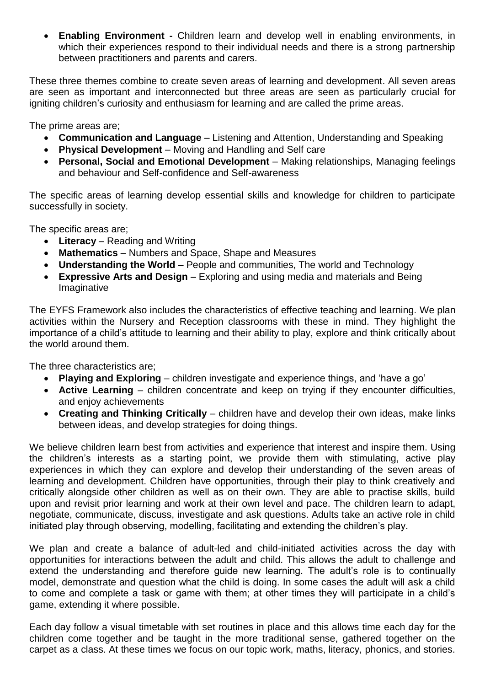• **Enabling Environment -** Children learn and develop well in enabling environments, in which their experiences respond to their individual needs and there is a strong partnership between practitioners and parents and carers.

These three themes combine to create seven areas of learning and development. All seven areas are seen as important and interconnected but three areas are seen as particularly crucial for igniting children's curiosity and enthusiasm for learning and are called the prime areas.

The prime areas are;

- **Communication and Language**  Listening and Attention, Understanding and Speaking
- **Physical Development**  Moving and Handling and Self care
- **Personal, Social and Emotional Development**  Making relationships, Managing feelings and behaviour and Self-confidence and Self-awareness

The specific areas of learning develop essential skills and knowledge for children to participate successfully in society.

The specific areas are;

- **Literacy**  Reading and Writing
- **Mathematics**  Numbers and Space, Shape and Measures
- **Understanding the World** People and communities, The world and Technology
- **Expressive Arts and Design**  Exploring and using media and materials and Being Imaginative

The EYFS Framework also includes the characteristics of effective teaching and learning. We plan activities within the Nursery and Reception classrooms with these in mind. They highlight the importance of a child's attitude to learning and their ability to play, explore and think critically about the world around them.

The three characteristics are;

- **Playing and Exploring**  children investigate and experience things, and 'have a go'
- **Active Learning**  children concentrate and keep on trying if they encounter difficulties, and enjoy achievements
- **Creating and Thinking Critically**  children have and develop their own ideas, make links between ideas, and develop strategies for doing things.

We believe children learn best from activities and experience that interest and inspire them. Using the children's interests as a starting point, we provide them with stimulating, active play experiences in which they can explore and develop their understanding of the seven areas of learning and development. Children have opportunities, through their play to think creatively and critically alongside other children as well as on their own. They are able to practise skills, build upon and revisit prior learning and work at their own level and pace. The children learn to adapt, negotiate, communicate, discuss, investigate and ask questions. Adults take an active role in child initiated play through observing, modelling, facilitating and extending the children's play.

We plan and create a balance of adult-led and child-initiated activities across the day with opportunities for interactions between the adult and child. This allows the adult to challenge and extend the understanding and therefore guide new learning. The adult's role is to continually model, demonstrate and question what the child is doing. In some cases the adult will ask a child to come and complete a task or game with them; at other times they will participate in a child's game, extending it where possible.

Each day follow a visual timetable with set routines in place and this allows time each day for the children come together and be taught in the more traditional sense, gathered together on the carpet as a class. At these times we focus on our topic work, maths, literacy, phonics, and stories.